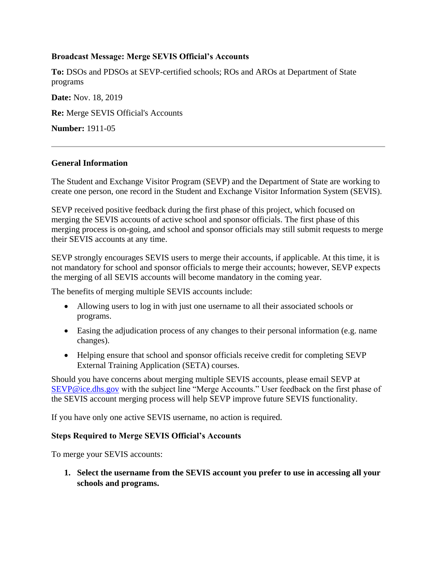### **Broadcast Message: Merge SEVIS Official's Accounts**

**To:** DSOs and PDSOs at SEVP-certified schools; ROs and AROs at Department of State programs

**Date:** Nov. 18, 2019 **Re:** Merge SEVIS Official's Accounts **Number:** 1911-05

### **General Information**

The Student and Exchange Visitor Program (SEVP) and the Department of State are working to create one person, one record in the Student and Exchange Visitor Information System (SEVIS).

SEVP received positive feedback during the first phase of this project, which focused on merging the SEVIS accounts of active school and sponsor officials. The first phase of this merging process is on-going, and school and sponsor officials may still submit requests to merge their SEVIS accounts at any time.

SEVP strongly encourages SEVIS users to merge their accounts, if applicable. At this time, it is not mandatory for school and sponsor officials to merge their accounts; however, SEVP expects the merging of all SEVIS accounts will become mandatory in the coming year.

The benefits of merging multiple SEVIS accounts include:

- Allowing users to log in with just one username to all their associated schools or programs.
- Easing the adjudication process of any changes to their personal information (e.g. name changes).
- Helping ensure that school and sponsor officials receive credit for completing SEVP External Training Application (SETA) courses.

Should you have concerns about merging multiple SEVIS accounts, please email SEVP at [SEVP@ice.dhs.gov](mailto:SEVP@ice.dhs.gov) with the subject line "Merge Accounts." User feedback on the first phase of the SEVIS account merging process will help SEVP improve future SEVIS functionality.

If you have only one active SEVIS username, no action is required.

# **Steps Required to Merge SEVIS Official's Accounts**

To merge your SEVIS accounts:

**1. Select the username from the SEVIS account you prefer to use in accessing all your schools and programs.**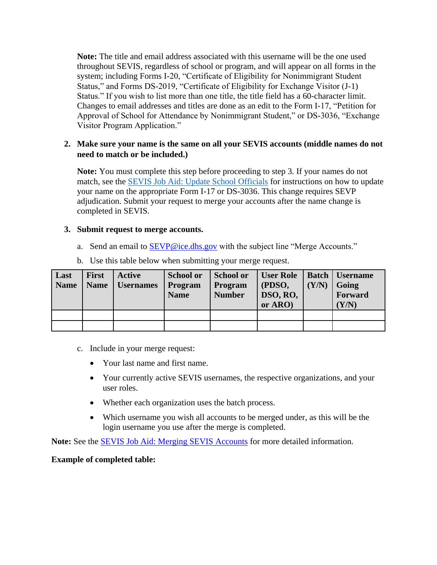**Note:** The title and email address associated with this username will be the one used throughout SEVIS, regardless of school or program, and will appear on all forms in the system; including Forms I-20, "Certificate of Eligibility for Nonimmigrant Student Status," and Forms DS-2019, "Certificate of Eligibility for Exchange Visitor (J-1) Status." If you wish to list more than one title, the title field has a 60-character limit. Changes to email addresses and titles are done as an edit to the Form I-17, "Petition for Approval of School for Attendance by Nonimmigrant Student," or DS-3036, "Exchange Visitor Program Application."

# **2. Make sure your name is the same on all your SEVIS accounts (middle names do not need to match or be included.)**

**Note:** You must complete this step before proceeding to step 3. If your names do not match, see the [SEVIS Job Aid: Update School Officials](https://studyinthestates.dhs.gov/sevis-help-hub/learn-more/sevis-job-aids/sevis-job-aid-update-school-officials) for instructions on how to update your name on the appropriate Form I-17 or DS-3036. This change requires SEVP adjudication. Submit your request to merge your accounts after the name change is completed in SEVIS.

### **3. Submit request to merge accounts.**

a. Send an email to **SEVP@ice.dhs.gov** with the subject line "Merge Accounts."

| Last<br><b>Name</b> | <b>First</b><br><b>Name</b> | Active<br><b>Usernames</b> | <b>School or</b><br>Program<br><b>Name</b> | School or<br>Program<br><b>Number</b> | <b>User Role</b><br>(PDSO,<br>DSO, RO,<br>or ARO) | (Y/N) | Batch   Username<br>Going<br>Forward<br>(Y/N) |
|---------------------|-----------------------------|----------------------------|--------------------------------------------|---------------------------------------|---------------------------------------------------|-------|-----------------------------------------------|
|                     |                             |                            |                                            |                                       |                                                   |       |                                               |
|                     |                             |                            |                                            |                                       |                                                   |       |                                               |

b. Use this table below when submitting your merge request.

- c. Include in your merge request:
	- Your last name and first name.
	- Your currently active SEVIS usernames, the respective organizations, and your user roles.
	- Whether each organization uses the batch process.
	- Which username you wish all accounts to be merged under, as this will be the login username you use after the merge is completed.

**Note:** See the [SEVIS Job Aid: Merging SEVIS Accounts](https://studyinthestates.dhs.gov/assets/Merging_SEVIS_User_Accounts.pdf) for more detailed information.

#### **Example of completed table:**